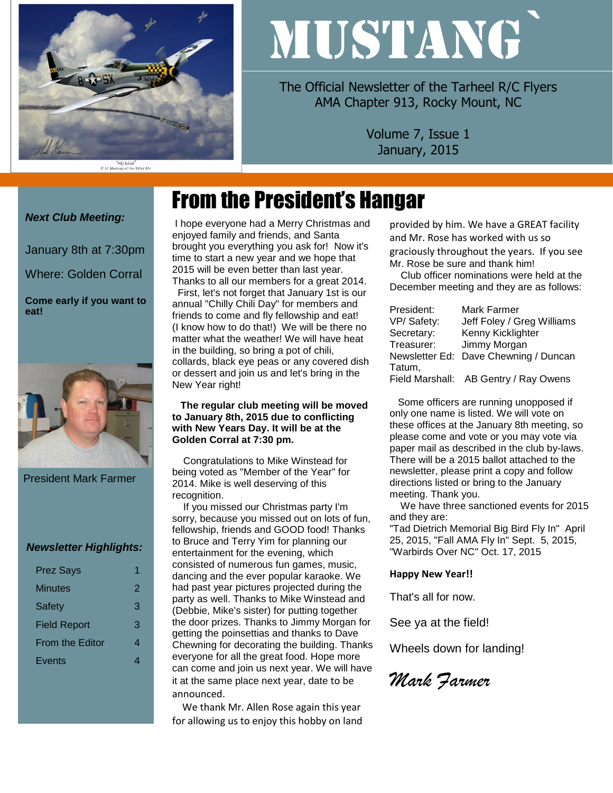

# MUSTANG`

The Official Newsletter of the Tarheel R/C Flyers AMA Chapter 913, Rocky Mount, NC

> Volume 7, Issue 1 January, 2015

## From the President's Hangar

#### *Next Club Meeting:*

January 8th at 7:30pm

Where: Golden Corral

**Come early if you want to eat!**



President Mark Farmer

#### *Newsletter Highlights:*

| <b>Prez Says</b>       |   |
|------------------------|---|
| Minutes                | 2 |
| <b>Safety</b>          | 3 |
| <b>Field Report</b>    | 3 |
| <b>From the Editor</b> |   |
| Events                 |   |

I hope everyone had a Merry Christmas and enjoyed family and friends, and Santa brought you everything you ask for! Now it's time to start a new year and we hope that 2015 will be even better than last year. Thanks to all our members for a great 2014.

First, let's not forget that January 1st is our annual "Chilly Chili Day" for members and friends to come and fly fellowship and eat! (I know how to do that!) We will be there no matter what the weather! We will have heat in the building, so bring a pot of chili, collards, black eye peas or any covered dish or dessert and join us and let's bring in the New Year right!

#### **The regular club meeting will be moved to January 8th, 2015 due to conflicting with New Years Day. It will be at the Golden Corral at 7:30 pm.**

 Congratulations to Mike Winstead for being voted as "Member of the Year" for 2014. Mike is well deserving of this recognition.

 If you missed our Christmas party I'm sorry, because you missed out on lots of fun, fellowship, friends and GOOD food! Thanks to Bruce and Terry Yim for planning our entertainment for the evening, which consisted of numerous fun games, music, dancing and the ever popular karaoke. We had past year pictures projected during the party as well. Thanks to Mike Winstead and (Debbie, Mike's sister) for putting together the door prizes. Thanks to Jimmy Morgan for getting the poinsettias and thanks to Dave Chewning for decorating the building. Thanks everyone for all the great food. Hope more can come and join us next year. We will have it at the same place next year, date to be announced.

 We thank Mr. Allen Rose again this year for allowing us to enjoy this hobby on land provided by him. We have a GREAT facility and Mr. Rose has worked with us so graciously throughout the years. If you see Mr. Rose be sure and thank him!

 Club officer nominations were held at the December meeting and they are as follows:

| President: | Mark Farmer                           |
|------------|---------------------------------------|
| VP/Safety: | Jeff Foley / Greg Williams            |
| Secretary: | Kenny Kicklighter                     |
| Treasurer: | Jimmy Morgan                          |
|            | Newsletter Ed: Dave Chewning / Duncan |
| Tatum,     |                                       |
|            | Field Marshall: AB Gentry / Ray Owens |

 Some officers are running unopposed if only one name is listed. We will vote on these offices at the January 8th meeting, so please come and vote or you may vote via paper mail as described in the club by-laws. There will be a 2015 ballot attached to the newsletter, please print a copy and follow directions listed or bring to the January meeting. Thank you.

 We have three sanctioned events for 2015 and they are:

"Tad Dietrich Memorial Big Bird Fly In" April 25, 2015, "Fall AMA Fly In" Sept. 5, 2015, "Warbirds Over NC" Oct. 17, 2015

#### **Happy New Year!!**

That's all for now.

See ya at the field!

Wheels down for landing!

*Mark Farmer*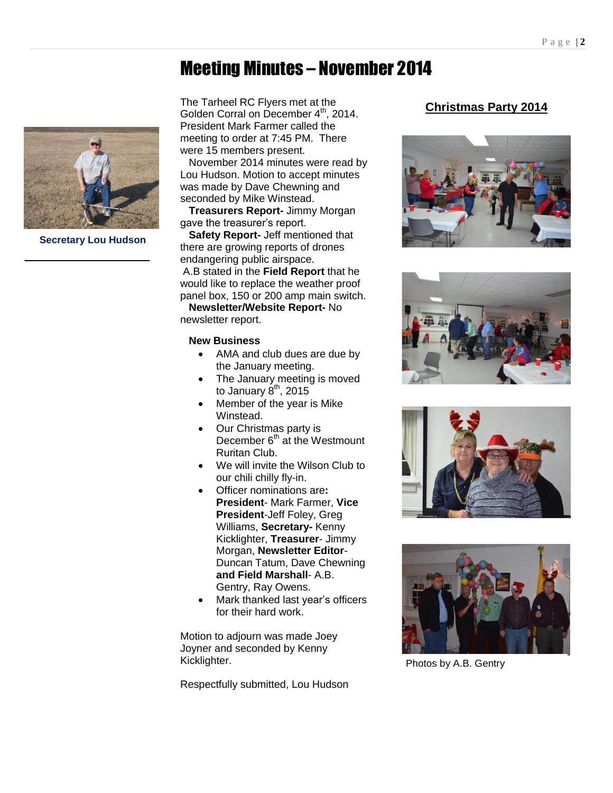### Meeting Minutes – November 2014



**Secretary Lou Hudson**

The Tarheel RC Flyers met at the Golden Corral on December 4<sup>th</sup>, 2014. President Mark Farmer called the meeting to order at 7:45 PM. There were 15 members present.

 November 2014 minutes were read by Lou Hudson. Motion to accept minutes was made by Dave Chewning and seconded by Mike Winstead.

 **Treasurers Report-** Jimmy Morgan gave the treasurer's report.

 **Safety Report-** Jeff mentioned that there are growing reports of drones endangering public airspace. A.B stated in the **Field Report** that he would like to replace the weather proof panel box, 150 or 200 amp main switch.

 **Newsletter/Website Report-** No newsletter report.

#### **New Business**

- AMA and club dues are due by the January meeting.
- The January meeting is moved to January  $8<sup>th</sup>$ , 2015
- Member of the year is Mike **Winstead.**
- Our Christmas party is December 6<sup>th</sup> at the Westmount Ruritan Club.
- We will invite the Wilson Club to our chili chilly fly-in.
- Officer nominations are**: President**- Mark Farmer, **Vice President**-Jeff Foley, Greg Williams, **Secretary-** Kenny Kicklighter, **Treasurer**- Jimmy Morgan, **Newsletter Editor**-Duncan Tatum, Dave Chewning **and Field Marshall**- A.B. Gentry, Ray Owens.
- Mark thanked last year's officers for their hard work.

Motion to adjourn was made Joey Joyner and seconded by Kenny Kicklighter.

Respectfully submitted, Lou Hudson

#### **Christmas Party 2014**









Photos by A.B. Gentry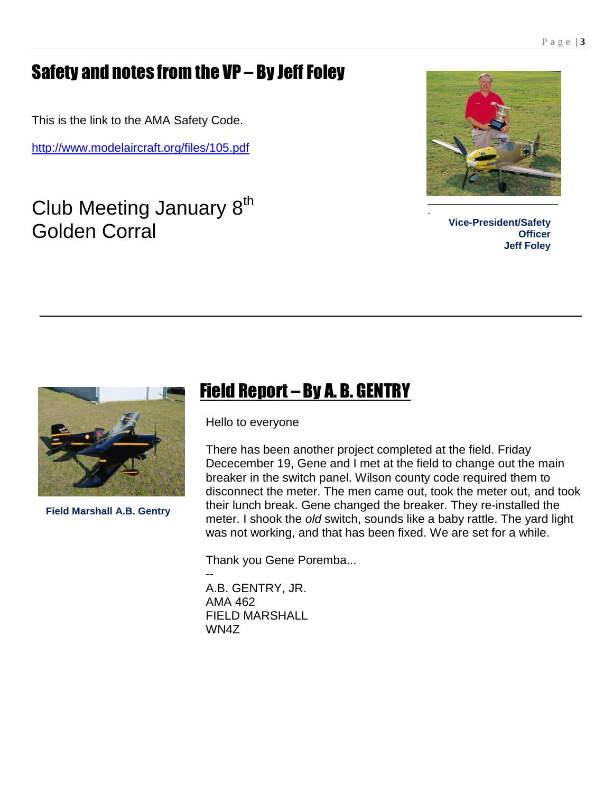## Safety and notes from the VP – By Jeff Foley

This is the link to the AMA Safety Code.

<http://www.modelaircraft.org/files/105.pdf>

Club Meeting January 8<sup>th</sup> Golden Corral



**Vice-President/Safety Officer Jeff Foley**



**Field Marshall A.B. Gentry**

## Field Report – By A. B. GENTRY

Hello to everyone

There has been another project completed at the field. Friday Dececember 19, Gene and I met at the field to change out the main breaker in the switch panel. Wilson county code required them to disconnect the meter. The men came out, took the meter out, and took their lunch break. Gene changed the breaker. They re-installed the meter. I shook the *old* switch, sounds like a baby rattle. The yard light was not working, and that has been fixed. We are set for a while.

Thank you Gene Poremba...

-- A.B. GENTRY, JR. AMA 462 FIELD MARSHALL WN4Z